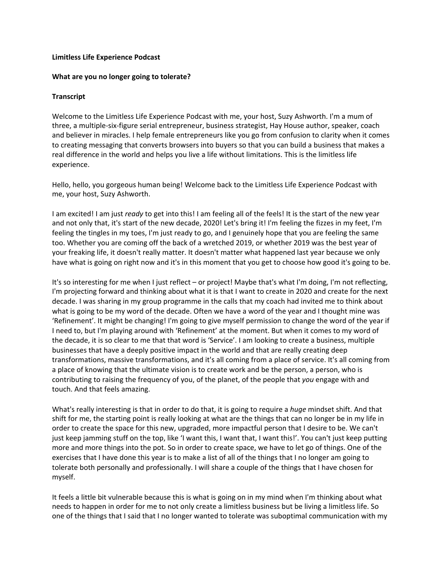## **Limitless Life Experience Podcast**

## **What are you no longer going to tolerate?**

## **Transcript**

Welcome to the Limitless Life Experience Podcast with me, your host, Suzy Ashworth. I'm a mum of three, a multiple-six-figure serial entrepreneur, business strategist, Hay House author, speaker, coach and believer in miracles. I help female entrepreneurs like you go from confusion to clarity when it comes to creating messaging that converts browsers into buyers so that you can build a business that makes a real difference in the world and helps you live a life without limitations. This is the limitless life experience.

Hello, hello, you gorgeous human being! Welcome back to the Limitless Life Experience Podcast with me, your host, Suzy Ashworth.

I am excited! I am just *ready* to get into this! I am feeling all of the feels! It is the start of the new year and not only that, it's start of the new decade, 2020! Let's bring it! I'm feeling the fizzes in my feet, I'm feeling the tingles in my toes, I'm just ready to go, and I genuinely hope that you are feeling the same too. Whether you are coming off the back of a wretched 2019, or whether 2019 was the best year of your freaking life, it doesn't really matter. It doesn't matter what happened last year because we only have what is going on right now and it's in this moment that you get to choose how good it's going to be.

It's so interesting for me when I just reflect – or project! Maybe that's what I'm doing, I'm not reflecting, I'm projecting forward and thinking about what it is that I want to create in 2020 and create for the next decade. I was sharing in my group programme in the calls that my coach had invited me to think about what is going to be my word of the decade. Often we have a word of the year and I thought mine was 'Refinement'. It might be changing! I'm going to give myself permission to change the word of the year if I need to, but I'm playing around with 'Refinement' at the moment. But when it comes to my word of the decade, it is so clear to me that that word is 'Service'. I am looking to create a business, multiple businesses that have a deeply positive impact in the world and that are really creating deep transformations, massive transformations, and it's all coming from a place of service. It's all coming from a place of knowing that the ultimate vision is to create work and be the person, a person, who is contributing to raising the frequency of you, of the planet, of the people that *you* engage with and touch. And that feels amazing.

What's really interesting is that in order to do that, it is going to require a *huge* mindset shift. And that shift for me, the starting point is really looking at what are the things that can no longer be in my life in order to create the space for this new, upgraded, more impactful person that I desire to be. We can't just keep jamming stuff on the top, like 'I want this, I want that, I want this!'. You can't just keep putting more and more things into the pot. So in order to create space, we have to let go of things. One of the exercises that I have done this year is to make a list of all of the things that I no longer am going to tolerate both personally and professionally. I will share a couple of the things that I have chosen for myself.

It feels a little bit vulnerable because this is what is going on in my mind when I'm thinking about what needs to happen in order for me to not only create a limitless business but be living a limitless life. So one of the things that I said that I no longer wanted to tolerate was suboptimal communication with my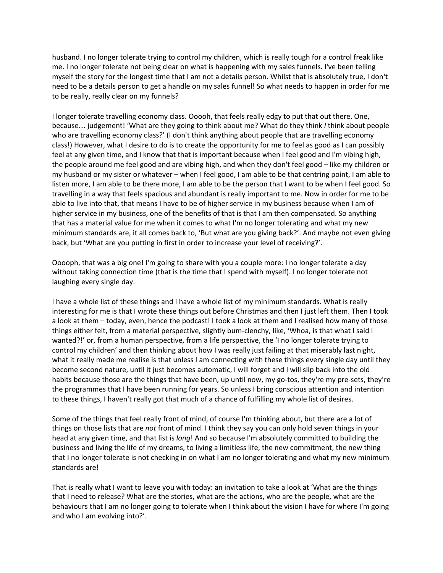husband. I no longer tolerate trying to control my children, which is really tough for a control freak like me. I no longer tolerate not being clear on what is happening with my sales funnels. I've been telling myself the story for the longest time that I am not a details person. Whilst that is absolutely true, I don't need to be a details person to get a handle on my sales funnel! So what needs to happen in order for me to be really, really clear on my funnels?

I longer tolerate travelling economy class. Ooooh, that feels really edgy to put that out there. One, because… judgement! 'What are they going to think about me? What do they think *I* think about people who are travelling economy class?' (I don't think anything about people that are travelling economy class!) However, what I desire to do is to create the opportunity for me to feel as good as I can possibly feel at any given time, and I know that that is important because when I feel good and I'm vibing high, the people around me feel good and are vibing high, and when they don't feel good – like my children or my husband or my sister or whatever – when I feel good, I am able to be that centring point, I am able to listen more, I am able to be there more, I am able to be the person that I want to be when I feel good. So travelling in a way that feels spacious and abundant is really important to me. Now in order for me to be able to live into that, that means I have to be of higher service in my business because when I am of higher service in my business, one of the benefits of that is that I am then compensated. So anything that has a material value for me when it comes to what I'm no longer tolerating and what my new minimum standards are, it all comes back to, 'But what are you giving back?'. And maybe not even giving back, but 'What are you putting in first in order to increase your level of receiving?'.

Ooooph, that was a big one! I'm going to share with you a couple more: I no longer tolerate a day without taking connection time (that is the time that I spend with myself). I no longer tolerate not laughing every single day.

I have a whole list of these things and I have a whole list of my minimum standards. What is really interesting for me is that I wrote these things out before Christmas and then I just left them. Then I took a look at them – today, even, hence the podcast! I took a look at them and I realised how many of those things either felt, from a material perspective, slightly bum-clenchy, like, 'Whoa, is that what I said I wanted?!' or, from a human perspective, from a life perspective, the 'I no longer tolerate trying to control my children' and then thinking about how I was really just failing at that miserably last night, what it really made me realise is that unless I am connecting with these things every single day until they become second nature, until it just becomes automatic, I will forget and I will slip back into the old habits because those are the things that have been, up until now, my go-tos, they're my pre-sets, they're the programmes that I have been running for years. So unless I bring conscious attention and intention to these things, I haven't really got that much of a chance of fulfilling my whole list of desires.

Some of the things that feel really front of mind, of course I'm thinking about, but there are a lot of things on those lists that are *not* front of mind. I think they say you can only hold seven things in your head at any given time, and that list is *long*! And so because I'm absolutely committed to building the business and living the life of my dreams, to living a limitless life, the new commitment, the new thing that I no longer tolerate is not checking in on what I am no longer tolerating and what my new minimum standards are!

That is really what I want to leave you with today: an invitation to take a look at 'What are the things that I need to release? What are the stories, what are the actions, who are the people, what are the behaviours that I am no longer going to tolerate when I think about the vision I have for where I'm going and who I am evolving into?'.